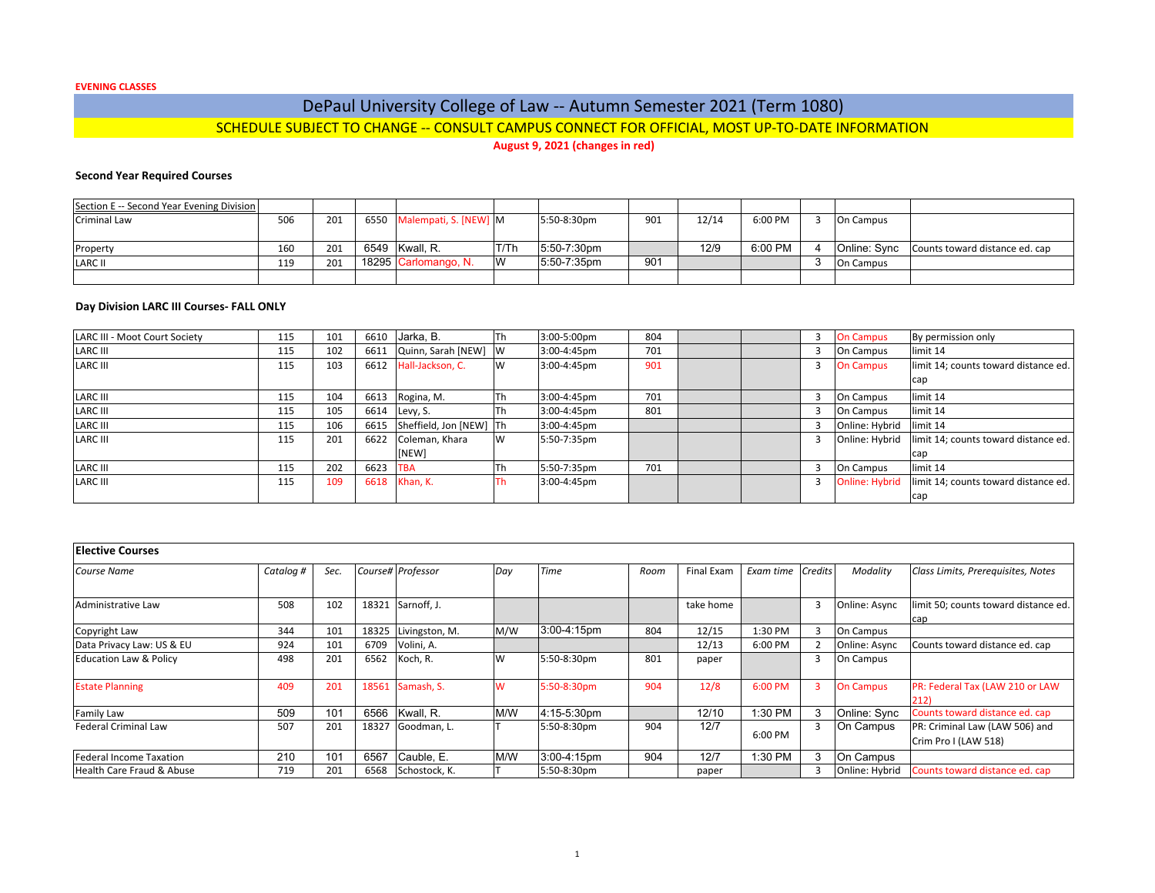**EVENING CLASSES**

# DePaul University College of Law ‐‐ Autumn Semester 2021 (Term 1080) SCHEDULE SUBJECT TO CHANGE ‐‐ CONSULT CAMPUS CONNECT FOR OFFICIAL, MOST UP‐TO‐DATE INFORMATION

**August 9, 2021 (changes in red)**

## **Second Year Required Courses**

| Section E -- Second Year Evening Division |     |     |                            |      |             |     |       |         |           |                                             |
|-------------------------------------------|-----|-----|----------------------------|------|-------------|-----|-------|---------|-----------|---------------------------------------------|
| Criminal Law                              | 506 | 201 | 6550 Malempati, S. [NEW] M |      | 5:50-8:30pm | 901 | 12/14 | 6:00 PM | On Campus |                                             |
|                                           |     |     |                            |      |             |     |       |         |           |                                             |
| Property                                  | 160 | 201 | 6549 Kwall. R.             | T/Th | 5:50-7:30pm |     | 12/9  | 6:00 PM |           | Online: Sync Counts toward distance ed. cap |
| <b>LARC II</b>                            | 119 | 201 | 18295 Carlomango, N.       | lW   | 5:50-7:35pm | 901 |       |         | On Campus |                                             |
|                                           |     |     |                            |      |             |     |       |         |           |                                             |

### **Day Division LARC III Courses‐ FALL ONLY**

| <b>LARC III - Moot Court Society</b> | 115 | 101 | 6610 | Jarka, B.               | Th | 3:00-5:00pm | 804 |  | <b>On Campus</b> | By permission only                   |
|--------------------------------------|-----|-----|------|-------------------------|----|-------------|-----|--|------------------|--------------------------------------|
| <b>LARC III</b>                      | 115 | 102 | 6611 | Quinn, Sarah [NEW] W    |    | 3:00-4:45pm | 701 |  | On Campus        | limit 14                             |
| <b>LARC III</b>                      | 115 | 103 | 6612 | Hall-Jackson, C.        | W  | 3:00-4:45pm | 901 |  | <b>On Campus</b> | limit 14; counts toward distance ed. |
|                                      |     |     |      |                         |    |             |     |  |                  | cap                                  |
| <b>LARC III</b>                      | 115 | 104 | 6613 | Rogina, M.              | Th | 3:00-4:45pm | 701 |  | On Campus        | limit 14                             |
| <b>LARC III</b>                      | 115 | 105 | 6614 | Levy, S.                | Th | 3:00-4:45pm | 801 |  | On Campus        | limit 14                             |
| <b>LARC III</b>                      | 115 | 106 | 6615 | Sheffield, Jon [NEW] Th |    | 3:00-4:45pm |     |  | Online: Hybrid   | limit 14                             |
| <b>LARC III</b>                      | 115 | 201 | 6622 | Coleman, Khara          | W  | 5:50-7:35pm |     |  | Online: Hybrid   | limit 14; counts toward distance ed. |
|                                      |     |     |      | [NEW]                   |    |             |     |  |                  | cap                                  |
| <b>LARC III</b>                      | 115 | 202 | 6623 | <b>TBA</b>              | Th | 5:50-7:35pm | 701 |  | On Campus        | limit 14                             |
| <b>LARC III</b>                      | 115 | 109 |      | 6618 Khan, K.           | Th | 3:00-4:45pm |     |  | Online: Hybrid   | limit 14; counts toward distance ed. |
|                                      |     |     |      |                         |    |             |     |  |                  | cap                                  |

| <b>Elective Courses</b>           |           |      |       |                   |     |             |      |            |           |         |                  |                                                        |
|-----------------------------------|-----------|------|-------|-------------------|-----|-------------|------|------------|-----------|---------|------------------|--------------------------------------------------------|
| Course Name                       | Catalog # | Sec. |       | Course# Professor | Day | <b>Time</b> | Room | Final Exam | Exam time | Credits | Modality         | Class Limits, Prerequisites, Notes                     |
| Administrative Law                | 508       | 102  | 18321 | Sarnoff, J.       |     |             |      | take home  |           |         | Online: Async    | limit 50; counts toward distance ed.                   |
| Copyright Law                     | 344       | 101  | 18325 | Livingston, M.    | M/W | 3:00-4:15pm | 804  | 12/15      | 1:30 PM   |         | On Campus        | cap                                                    |
| Data Privacy Law: US & EU         | 924       | 101  | 6709  | Volini, A.        |     |             |      | 12/13      | 6:00 PM   |         | Online: Async    | Counts toward distance ed. cap                         |
| <b>Education Law &amp; Policy</b> | 498       | 201  | 6562  | Koch, R.          | W   | 5:50-8:30pm | 801  | paper      |           |         | On Campus        |                                                        |
| <b>Estate Planning</b>            | 409       | 201  | 18561 | Samash, S.        | W   | 5:50-8:30pm | 904  | 12/8       | 6:00 PM   |         | <b>On Campus</b> | PR: Federal Tax (LAW 210 or LAW<br>212)                |
| Family Law                        | 509       | 101  | 6566  | Kwall, R.         | M/W | 4:15-5:30pm |      | 12/10      | 1:30 PM   |         | Online: Sync     | Counts toward distance ed. cap                         |
| <b>Federal Criminal Law</b>       | 507       | 201  | 18327 | Goodman, L.       |     | 5:50-8:30pm | 904  | 12/7       | 6:00 PM   |         | On Campus        | PR: Criminal Law (LAW 506) and<br>Crim Pro I (LAW 518) |
| <b>Federal Income Taxation</b>    | 210       | 101  | 6567  | Cauble, E.        | M/W | 3:00-4:15pm | 904  | 12/7       | 1:30 PM   | - 3     | On Campus        |                                                        |
| Health Care Fraud & Abuse         | 719       | 201  | 6568  | Schostock, K.     |     | 5:50-8:30pm |      | paper      |           |         | Online: Hybrid   | Counts toward distance ed. cap                         |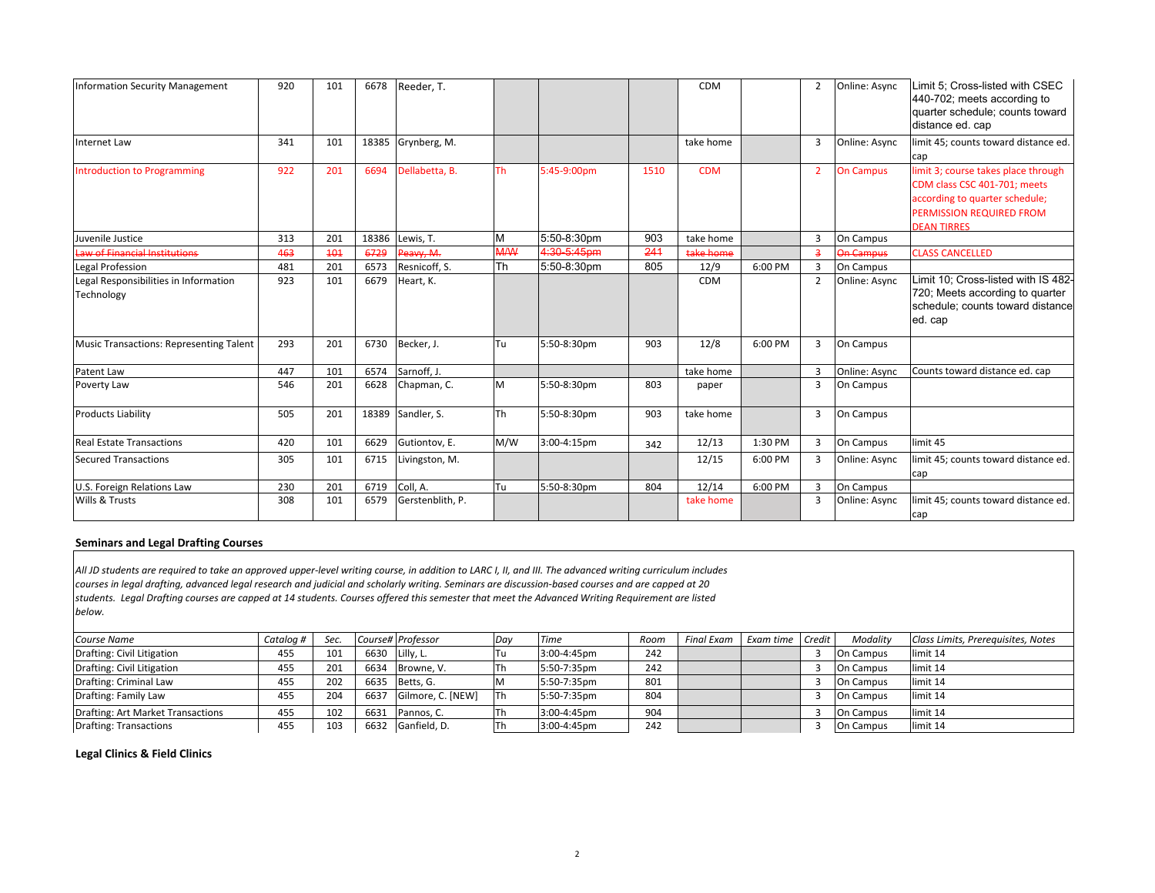| <b>Information Security Management</b>              | 920 | 101 | 6678  | Reeder, T.       |            |             |      | <b>CDM</b> |         | $\overline{2}$ | Online: Async    | Limit 5; Cross-listed with CSEC<br>440-702; meets according to<br>quarter schedule; counts toward<br>distance ed. cap                                   |
|-----------------------------------------------------|-----|-----|-------|------------------|------------|-------------|------|------------|---------|----------------|------------------|---------------------------------------------------------------------------------------------------------------------------------------------------------|
| <b>Internet Law</b>                                 | 341 | 101 | 18385 | Grynberg, M.     |            |             |      | take home  |         | 3              | Online: Async    | limit 45; counts toward distance ed.<br>cap                                                                                                             |
| <b>Introduction to Programming</b>                  | 922 | 201 | 6694  | Dellabetta, B.   | <b>Th</b>  | 5:45-9:00pm | 1510 | <b>CDM</b> |         | $\overline{2}$ | <b>On Campus</b> | limit 3; course takes place through<br>CDM class CSC 401-701; meets<br>according to quarter schedule;<br>PERMISSION REQUIRED FROM<br><b>DEAN TIRRES</b> |
| Juvenile Justice                                    | 313 | 201 | 18386 | Lewis, T.        | M          | 5:50-8:30pm | 903  | take home  |         | 3              | On Campus        |                                                                                                                                                         |
| aw of Financial Institutions                        | 463 | 404 | 6729  | Peavy, M.        | <b>M/W</b> | 4:30-5:45pm | 241  | take home  |         | $\overline{3}$ | <b>On Campus</b> | <b>CLASS CANCELLED</b>                                                                                                                                  |
| Legal Profession                                    | 481 | 201 | 6573  | Resnicoff, S.    | Th         | 5:50-8:30pm | 805  | 12/9       | 6:00 PM | 3              | On Campus        |                                                                                                                                                         |
| Legal Responsibilities in Information<br>Technology | 923 | 101 | 6679  | Heart, K.        |            |             |      | <b>CDM</b> |         | $\overline{2}$ | Online: Async    | Limit 10; Cross-listed with IS 482-<br>720; Meets according to quarter<br>schedule; counts toward distance<br>ed. cap                                   |
| <b>Music Transactions: Representing Talent</b>      | 293 | 201 | 6730  | Becker, J.       | Tu         | 5:50-8:30pm | 903  | 12/8       | 6:00 PM | 3              | On Campus        |                                                                                                                                                         |
| Patent Law                                          | 447 | 101 | 6574  | Sarnoff, J.      |            |             |      | take home  |         | $\overline{3}$ | Online: Async    | Counts toward distance ed. cap                                                                                                                          |
| Poverty Law                                         | 546 | 201 | 6628  | Chapman, C.      | M          | 5:50-8:30pm | 803  | paper      |         | 3              | On Campus        |                                                                                                                                                         |
| <b>Products Liability</b>                           | 505 | 201 | 18389 | Sandler, S.      | <b>ITh</b> | 5:50-8:30pm | 903  | take home  |         | $\overline{3}$ | On Campus        |                                                                                                                                                         |
| <b>Real Estate Transactions</b>                     | 420 | 101 | 6629  | Gutiontov, E.    | M/W        | 3:00-4:15pm | 342  | 12/13      | 1:30 PM | 3              | On Campus        | limit 45                                                                                                                                                |
| <b>Secured Transactions</b>                         | 305 | 101 | 6715  | Livingston, M.   |            |             |      | 12/15      | 6:00 PM | 3              | Online: Async    | limit 45; counts toward distance ed.<br>cap                                                                                                             |
| U.S. Foreign Relations Law                          | 230 | 201 | 6719  | Coll. A.         | Tu         | 5:50-8:30pm | 804  | 12/14      | 6:00 PM | 3              | On Campus        |                                                                                                                                                         |
| Wills & Trusts                                      | 308 | 101 | 6579  | Gerstenblith, P. |            |             |      | take home  |         | 3              | Online: Async    | limit 45; counts toward distance ed.<br>cap                                                                                                             |

## **Seminars and Legal Drafting Courses**

All JD students are required to take an approved upper-level writing course, in addition to LARC I, II, and III. The advanced writing curriculum includes courses in legal drafting, advanced legal research and judicial and scholarly writing. Seminars are discussion-based courses and are capped at 20 students. Legal Drafting courses are capped at 14 students. Courses offered this semester that meet the Advanced Writing Requirement are listed *below.*

| Course Name                       | Cataloa # | Sec.            |      | Course# Professor | 1Dav       | Time        | Room | Final Exam L Exam time Credit |  | Modality         | Class Limits, Prerequisites, Notes |
|-----------------------------------|-----------|-----------------|------|-------------------|------------|-------------|------|-------------------------------|--|------------------|------------------------------------|
| Drafting: Civil Litigation        | 455       | 101             |      | 6630 Lilly, L.    | Tu         | 3:00-4:45pm | 242  |                               |  | On Campus        | limit 14                           |
| Drafting: Civil Litigation        | 455       | 201             |      | 6634 Browne, V.   | Th         | 5:50-7:35pm | 242  |                               |  | On Campus        | limit 14                           |
| Drafting: Criminal Law            | 455       | 202             | 6635 | Betts, G.         |            | 5:50-7:35pm | 801  |                               |  | On Campus        | limit 14                           |
| Drafting: Family Law              | 455       | 204             | 6637 | Gilmore, C. [NEW] | <b>ITh</b> | 5:50-7:35pm | 804  |                               |  | <b>On Campus</b> | limit 14                           |
| Drafting: Art Market Transactions | 455       | 102             | 6631 | Pannos, C.        | Th         | 3:00-4:45pm | 904  |                               |  | On Campus        | limit 14                           |
| <b>Drafting: Transactions</b>     | 455       | 10 <sup>3</sup> |      | 6632 Ganfield, D. | lTh        | 3:00-4:45pm | 242  |                               |  | On Campus        | limit 14                           |

# **Legal Clinics & Field Clinics**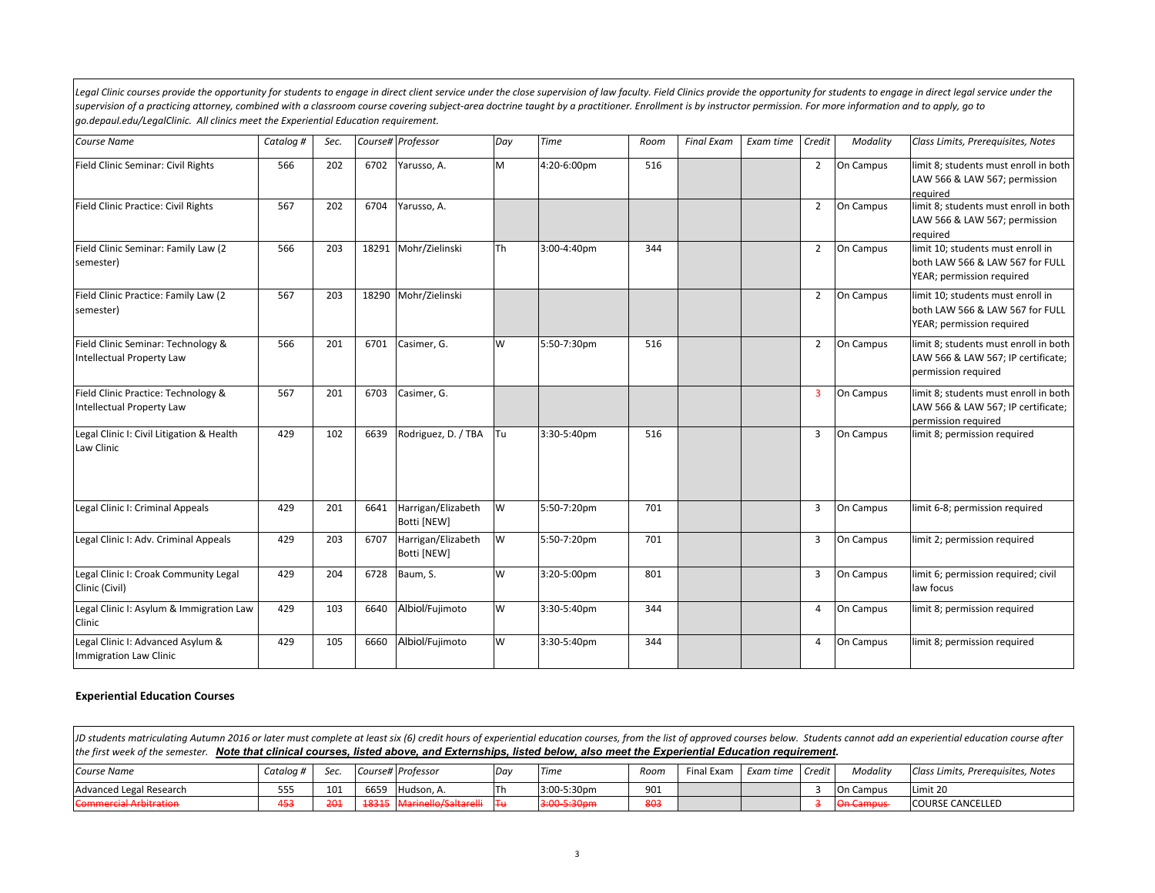Legal Clinic courses provide the opportunity for students to engage in direct client service under the close supervision of law faculty. Field Clinics provide the opportunity for students to engage in direct legal service supervision of a practicing attorney, combined with a classroom course covering subject-area doctrine taught by a practitioner. Enrollment is by instructor permission. For more information and to apply, go to *go.depaul.edu/LegalClinic. All clinics meet the Experiential Education requirement.*

| <b>Course Name</b>                                               | Catalog # | Sec. |       | Course# Professor                 | Day | <b>Time</b> | Room | <b>Final Exam</b> | Exam time | Credit         | Modality  | Class Limits, Prerequisites, Notes                                                                 |
|------------------------------------------------------------------|-----------|------|-------|-----------------------------------|-----|-------------|------|-------------------|-----------|----------------|-----------|----------------------------------------------------------------------------------------------------|
| Field Clinic Seminar: Civil Rights                               | 566       | 202  | 6702  | Yarusso, A.                       | M   | 4:20-6:00pm | 516  |                   |           | $\overline{2}$ | On Campus | limit 8; students must enroll in both<br>LAW 566 & LAW 567; permission<br>reauired                 |
| Field Clinic Practice: Civil Rights                              | 567       | 202  | 6704  | Yarusso, A.                       |     |             |      |                   |           | $\overline{2}$ | On Campus | limit 8; students must enroll in both<br>LAW 566 & LAW 567; permission<br>reauired                 |
| Field Clinic Seminar: Family Law (2)<br>semester)                | 566       | 203  | 18291 | Mohr/Zielinski                    | Th  | 3:00-4:40pm | 344  |                   |           | $\overline{2}$ | On Campus | limit 10; students must enroll in<br>both LAW 566 & LAW 567 for FULL<br>YEAR; permission required  |
| Field Clinic Practice: Family Law (2<br>semester)                | 567       | 203  |       | 18290 Mohr/Zielinski              |     |             |      |                   |           | $\overline{2}$ | On Campus | limit 10; students must enroll in<br>both LAW 566 & LAW 567 for FULL<br>YEAR; permission required  |
| Field Clinic Seminar: Technology &<br>Intellectual Property Law  | 566       | 201  | 6701  | Casimer, G.                       | W   | 5:50-7:30pm | 516  |                   |           | $\overline{2}$ | On Campus | limit 8; students must enroll in both<br>LAW 566 & LAW 567; IP certificate;<br>permission required |
| Field Clinic Practice: Technology &<br>Intellectual Property Law | 567       | 201  | 6703  | Casimer, G.                       |     |             |      |                   |           | $\overline{3}$ | On Campus | limit 8; students must enroll in both<br>LAW 566 & LAW 567; IP certificate;<br>permission required |
| Legal Clinic I: Civil Litigation & Health<br>Law Clinic          | 429       | 102  | 6639  | Rodriguez, D. / TBA               | Tu  | 3:30-5:40pm | 516  |                   |           | 3              | On Campus | limit 8; permission required                                                                       |
| Legal Clinic I: Criminal Appeals                                 | 429       | 201  | 6641  | Harrigan/Elizabeth<br>Botti [NEW] | W   | 5:50-7:20pm | 701  |                   |           | $\overline{3}$ | On Campus | limit 6-8; permission required                                                                     |
| Legal Clinic I: Adv. Criminal Appeals                            | 429       | 203  | 6707  | Harrigan/Elizabeth<br>Botti [NEW] | W   | 5:50-7:20pm | 701  |                   |           | $\overline{3}$ | On Campus | limit 2; permission required                                                                       |
| Legal Clinic I: Croak Community Legal<br>Clinic (Civil)          | 429       | 204  | 6728  | Baum, S.                          | W   | 3:20-5:00pm | 801  |                   |           | 3              | On Campus | limit 6; permission required; civil<br>law focus                                                   |
| Legal Clinic I: Asylum & Immigration Law<br>Clinic               | 429       | 103  | 6640  | Albiol/Fujimoto                   | W   | 3:30-5:40pm | 344  |                   |           | $\overline{4}$ | On Campus | limit 8; permission required                                                                       |
| Legal Clinic I: Advanced Asylum &<br>Immigration Law Clinic      | 429       | 105  | 6660  | Albiol/Fujimoto                   | W   | 3:30-5:40pm | 344  |                   |           | $\overline{4}$ | On Campus | limit 8; permission required                                                                       |

### **Experiential Education Courses**

JD students matriculating Autumn 2016 or later must complete at least six (6) credit hours of experiential education courses, from the list of approved courses below. Students cannot add an experiential education course a *the first week of the semester. Note that clinical courses, listed above, and Externships, listed below, also meet the Experiential Education requirement.*

| <b>Course Name</b>                                        | Cataloa # | Sec                   |                      | Course# Professor                                   | <b>Day</b> | <b>Time</b> | Room | Final Exam | Exam time Credit | Modality                                  | Class Limits, Prerequisites, Notes |
|-----------------------------------------------------------|-----------|-----------------------|----------------------|-----------------------------------------------------|------------|-------------|------|------------|------------------|-------------------------------------------|------------------------------------|
| Advanced Legal Research                                   |           | 101                   | 6659                 | Hudson, A.                                          | l h        | 3:00-5:30pm | 901  |            |                  | <b>On Campus</b>                          | Limit 20                           |
| Commorcial Arbitration<br><del>commercial mora agon</del> |           | วกา<br><b>Service</b> | 1001<br><b>IUSID</b> | Marinollo (Caltarolli<br><del>marmeno/sanarem</del> |            | 3:00-5:30pm | 803  |            |                  | <b>On Campus</b><br><b>CHI Currity up</b> | <b>COURSE CANCELLED</b>            |